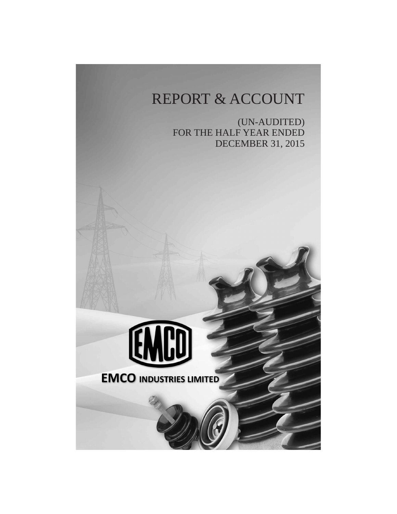# REPORT & ACCOUNT

(UN-AUDITED) FOR THE HALF YEAR ENDED DECEMBER 31, 2015

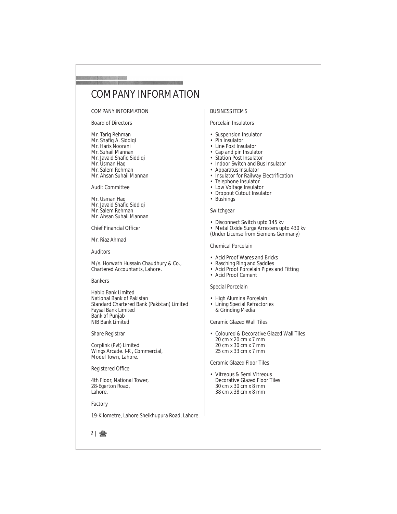## COMPANY INFORMATION

#### COMPANY INFORMATION

Board of Directors

Mr. Tariq Rehman Mr. Shafiq A. Siddiqi Mr. Haris Noorani Mr. Suhail Mannan Mr. Javaid Shafiq Siddiqi Mr. Usman Haq Mr. Salem Rehman Mr. Ahsan Suhail Mannan

Audit Committee

Mr. Usman Haq Mr. Javaid Shafiq Siddiqi Mr. Salem Rehman Mr. Ahsan Suhail Mannan

Chief Financial Officer

Mr. Riaz Ahmad

Auditors

M/s. Horwath Hussain Chaudhury & Co., Chartered Accountants, Lahore.

Bankers

Habib Bank Limited National Bank of Pakistan Standard Chartered Bank (Pakistan) Limited Faysal Bank Limited Bank of Punjab NIB Bank Limited

Share Registrar

Corplink (Pvt) Limited Wings Arcade. I-K , Commercial, Model Town, Lahore.

Registered Office

4th Floor, National Tower, 28-Egerton Road, Lahore.

Factory

19-Kilometre, Lahore Sheikhupura Road, Lahore.

#### BUSINESS ITEMS

#### Porcelain Insulators

- • Suspension Insulator
- Pin Insulator
- • Line Post Insulator
- • Cap and pin Insulator
- Station Post Insulator
- • Indoor Switch and Bus Insulator
- • Apparatus Insulator
- Insulator for Railway Electrification
- Telephone Insulator
- Low Voltage Insulator
- • Dropout Cutout Insulator
- • Bushings

### Switchgear

- • Disconnect Switch upto 145 kv
- • Metal Oxide Surge Arresters upto 430 kv
- (Under License from Siemens Genmany)

Chemical Porcelain

- • Acid Proof Wares and Bricks
- • Rasching Ring and Saddles
- • Acid Proof Porcelain Pipes and Fitting
- • Acid Proof Cement

Special Porcelain

- • High Alumina Porcelain
- • Lining Special Refractories & Grinding Media

Ceramic Glazed Wall Tiles

• Coloured & Decorative Glazed Wall Tiles 20 cm x 20 cm x 7 mm 20 cm x 30 cm x 7 mm 25 cm x 33 cm x 7 mm

Ceramic Glazed Floor Tiles

• Vitreous & Semi Vitreous Decorative Glazed Floor Tiles 30 cm x 30 cm x 8 mm 38 cm x 38 cm x 8 mm

 $2 \mid \frac{25}{25}$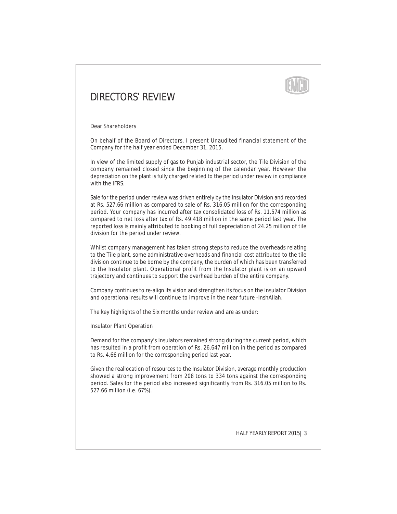### DIRECTORS' REVIEW

Dear Shareholders

On behalf of the Board of Directors, I present Unaudited financial statement of the Company for the half year ended December 31, 2015.

In view of the limited supply of gas to Punjab industrial sector, the Tile Division of the company remained closed since the beginning of the calendar year. However the depreciation on the plant is fully charged related to the period under review in compliance with the IFRS. 

Sale for the period under review was driven entirely by the Insulator Division and recorded at Rs. 527.66 million as compared to sale of Rs. 316.05 million for the corresponding period. Your company has incurred after tax consolidated loss of Rs. 11.574 million as compared to net loss after tax of Rs. 49.418 million in the same period last year. The reported loss is mainly attributed to booking of full depreciation of 24.25 million of tile division for the period under review.

Whilst company management has taken strong steps to reduce the overheads relating to the Tile plant, some administrative overheads and financial cost attributed to the tile division continue to be borne by the company, the burden of which has been transferred to the Insulator plant. Operational profit from the Insulator plant is on an upward trajectory and continues to support the overhead burden of the entire company. 

Company continues to re-align its vision and strengthen its focus on the Insulator Division and operational results will continue to improve in the near future -InshAllah. 

The key highlights of the Six months under review and are as under:

Insulator Plant Operation

Demand for the company's Insulators remained strong during the current period, which has resulted in a profit from operation of Rs. 26.647 million in the period as compared to Rs. 4.66 million for the corresponding period last year.

Given the reallocation of resources to the Insulator Division, average monthly production showed a strong improvement from 208 tons to 334 tons against the corresponding period. Sales for the period also increased significantly from Rs. 316.05 million to Rs. 527.66 million (i.e. 67%).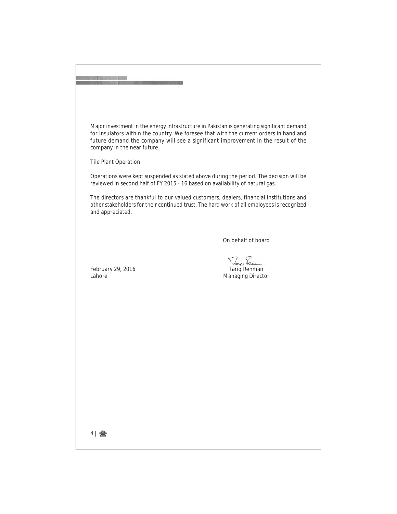$4$  | Major investment in the energy infrastructure in Pakistan is generating significant demand for Insulators within the country. We foresee that with the current orders in hand and future demand the company will see a significant improvement in the result of the company in the near future. Tile Plant Operation Operations were kept suspended as stated above during the period. The decision will be reviewed in second half of FY 2015 - 16 based on availability of natural gas. The directors are thankful to our valued customers, dealers, financial institutions and other stakeholders for their continued trust. The hard work of all employees is recognized and appreciated. On behalf of board February 29, 2016<br>Tariq Rehman Lahore Managing Director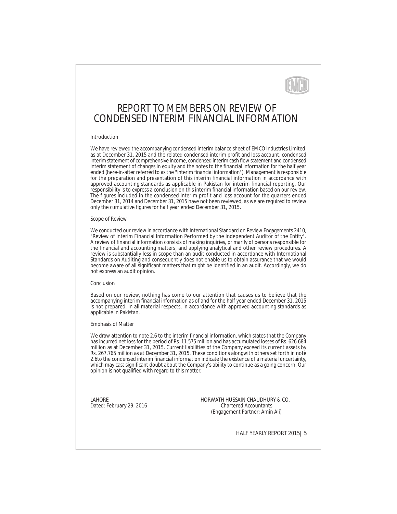### REPORT TO MEMBERS ON REVIEW OF CONDENSED INTERIM FINANCIAL INFORMATION

#### Introduction

We have reviewed the accompanying condensed interim balance sheet of EMCO Industries Limited as at December 31, 2015 and the related condensed interim profit and loss account, condensed interim statement of comprehensive income, condensed interim cash flow statement and condensed interim statement of changes in equity and the notes to the financial information for the half year ended (here-in-after referred to as the "interim financial information"). Management is responsible for the preparation and presentation of this interim financial information in accordance with approved accounting standards as applicable in Pakistan for interim financial reporting. Our responsibility is to express a conclusion on this interim financial information based on our review. The figures included in the condensed interim profit and loss account for the quarters ended December 31, 2014 and December 31, 2015 have not been reviewed, as we are required to review only the cumulative figures for half year ended December 31, 2015.

#### Scope of Review

We conducted our review in accordance with International Standard on Review Engagements 2410, "Review of Interim Financial Information Performed by the Independent Auditor of the Entity". A review of financial information consists of making inquiries, primarily of persons responsible for the financial and accounting matters, and applying analytical and other review procedures. A review is substantially less in scope than an audit conducted in accordance with International Standards on Auditing and consequently does not enable us to obtain assurance that we would become aware of all significant matters that might be identified in an audit. Accordingly, we do not express an audit opinion.

#### Conclusion

Based on our review, nothing has come to our attention that causes us to believe that the accompanying interim financial information as of and for the half year ended December 31, 2015 is not prepared, in all material respects, in accordance with approved accounting standards as applicable in Pakistan.

#### Emphasis of Matter

We draw attention to note 2.6 to the interim financial information, which states that the Company has incurred net loss for the period of Rs. 11.575 million and has accumulated losses of Rs. 626.684 million as at December 31, 2015. Current liabilities of the Company exceed its current assets by Rs. 267.765 million as at December 31, 2015. These conditions alongwith others set forth in note 2.6to the condensed interim financial information indicate the existence of a material uncertainty, which may cast significant doubt about the Company's ability to continue as a going concern. Our opinion is not qualified with regard to this matter.

Dated: February 29, 2016

LAHORE HORWATH HUSSAIN CHAUDHURY & CO.<br>Dated: February 29, 2016 Chartered Accountants (Engagement Partner: Amin Ali)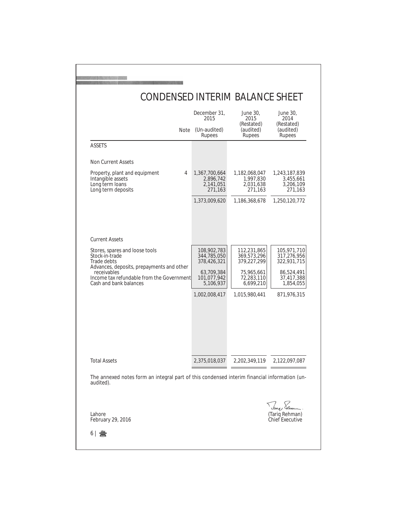| Note                                                                                                                                                                                                                        | December 31,<br>2015<br>(Un-audited)                                                                 | June 30,<br>2015<br>(Restated)<br>(audited)                                                         | June 30,<br>2014<br>(Restated)<br>(audited)                                                       |
|-----------------------------------------------------------------------------------------------------------------------------------------------------------------------------------------------------------------------------|------------------------------------------------------------------------------------------------------|-----------------------------------------------------------------------------------------------------|---------------------------------------------------------------------------------------------------|
| <b>ASSETS</b>                                                                                                                                                                                                               | Rupees                                                                                               | Rupees                                                                                              | Rupees                                                                                            |
|                                                                                                                                                                                                                             |                                                                                                      |                                                                                                     |                                                                                                   |
| <b>Non Current Assets</b>                                                                                                                                                                                                   |                                                                                                      |                                                                                                     |                                                                                                   |
| Property, plant and equipment<br>4<br>Intangible assets<br>Long term loans<br>Long term deposits                                                                                                                            | 1,367,700,664<br>2,896,742<br>2,141,051<br>271,163                                                   | 1,182,068,047<br>1,997,830<br>2,031,638<br>271,163                                                  | 1,243,187,839<br>3,455,661<br>3,206,109<br>271,163                                                |
|                                                                                                                                                                                                                             | 1,373,009,620                                                                                        | 1,186,368,678                                                                                       | 1,250,120,772                                                                                     |
| <b>Current Assets</b><br>Stores, spares and loose tools<br>Stock-in-trade<br>Trade debts<br>Advances, deposits, prepayments and other<br>receivables<br>Income tax refundable from the Government<br>Cash and bank balances | 108,902,783<br>344.785.050<br>378,426,321<br>63,709,384<br>101,077,942<br>5,106,937<br>1,002,008,417 | 112,231,865<br>369,573,296<br>379,227,299<br>75,965,661<br>72,283,110<br>6,699,210<br>1,015,980,441 | 105,971,710<br>317,276,956<br>322,931,715<br>86,524,491<br>37,417,388<br>1,854,055<br>871,976,315 |
| <b>Total Assets</b>                                                                                                                                                                                                         | 2,375,018,037                                                                                        | 2,202,349,119 2,122,097,087                                                                         |                                                                                                   |
|                                                                                                                                                                                                                             |                                                                                                      |                                                                                                     |                                                                                                   |
| The annexed notes form an integral part of this condensed interim financial information (un-<br>audited).                                                                                                                   |                                                                                                      |                                                                                                     |                                                                                                   |
|                                                                                                                                                                                                                             |                                                                                                      |                                                                                                     |                                                                                                   |
| Lahore                                                                                                                                                                                                                      |                                                                                                      |                                                                                                     | Tang Sem.                                                                                         |
| February 29, 2016                                                                                                                                                                                                           |                                                                                                      |                                                                                                     | (Tariq Rehman)<br>Chief Executive                                                                 |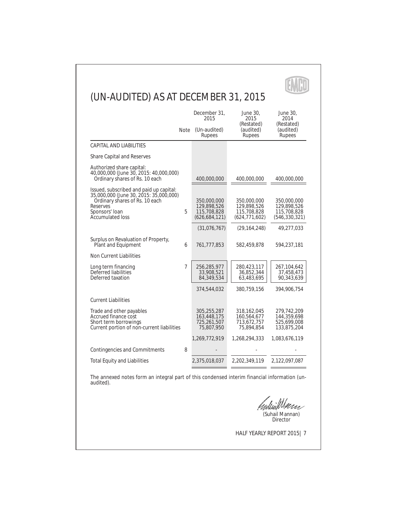TANT

# (UN-AUDITED) AS AT DECEMBER 31, 2015

|                                                                                                                                                                              |                | December 31.<br>2015                                                     | June 30.<br>2015<br>(Restated)                                           | June 30.<br>2014<br>(Restated)                                            |
|------------------------------------------------------------------------------------------------------------------------------------------------------------------------------|----------------|--------------------------------------------------------------------------|--------------------------------------------------------------------------|---------------------------------------------------------------------------|
|                                                                                                                                                                              | Note           | (Un-audited)<br>Rupees                                                   | (audited)<br><b>Rupees</b>                                               | (audited)<br>Rupees                                                       |
| <b>CAPITAL AND LIABILITIES</b>                                                                                                                                               |                |                                                                          |                                                                          |                                                                           |
| <b>Share Capital and Reserves</b>                                                                                                                                            |                |                                                                          |                                                                          |                                                                           |
| Authorized share capital:<br>40,000,000 (June 30, 2015: 40,000,000)<br>Ordinary shares of Rs. 10 each                                                                        |                | 400,000,000                                                              | 400,000,000                                                              | 400,000,000                                                               |
| Issued, subscribed and paid up capital:<br>35,000,000 (June 30, 2015: 35,000,000)<br>Ordinary shares of Rs. 10 each<br><b>Reserves</b><br>Sponsors' loan<br>Accumulated loss | $\overline{5}$ | 350,000,000<br>129,898,526<br>115,708,828<br>(626, 684, 121)             | 350,000,000<br>129,898,526<br>115,708,828<br>(624, 771, 602)             | 350,000,000<br>129,898,526<br>115,708,828<br>(546, 330, 321)              |
|                                                                                                                                                                              |                | (31,076,767)                                                             | (29, 164, 248)                                                           | 49,277,033                                                                |
| Surplus on Revaluation of Property,<br>Plant and Equipment                                                                                                                   | 6              | 761,777,853                                                              | 582,459,878                                                              | 594,237,181                                                               |
| <b>Non Current Liabilities</b>                                                                                                                                               |                |                                                                          |                                                                          |                                                                           |
| Long term financing<br>Deferred liabilities<br>Deferred taxation                                                                                                             | $\tau$         | 256.285.977<br>33,908,521<br>84,349,534                                  | 280.423.117<br>36,852,344<br>63,483,695                                  | 267.104.642<br>37,458,473<br>90,343,639                                   |
|                                                                                                                                                                              |                | 374,544,032                                                              | 380,759,156                                                              | 394,906,754                                                               |
| <b>Current Liabilities</b>                                                                                                                                                   |                |                                                                          |                                                                          |                                                                           |
| Trade and other payables<br>Accrued finance cost<br>Short term borrowings<br>Current portion of non-current liabilities                                                      |                | 305,255,287<br>163,448,175<br>725,261,507<br>75,807,950<br>1,269,772,919 | 318,162,045<br>160,564,677<br>713,672,757<br>75,894,854<br>1,268,294,333 | 279,742,209<br>144.359.698<br>525,699,008<br>133,875,204<br>1,083,676,119 |
|                                                                                                                                                                              | 8              |                                                                          |                                                                          |                                                                           |
| Contingencies and Commitments                                                                                                                                                |                |                                                                          |                                                                          |                                                                           |
| <b>Total Equity and Liabilities</b>                                                                                                                                          |                | 2,375,018,037                                                            | 2,202,349,119                                                            | 2,122,097,087                                                             |

The annexed notes form an integral part of this condensed interim financial information (unaudited).

Carlin Marin (Suhail Mannan) Director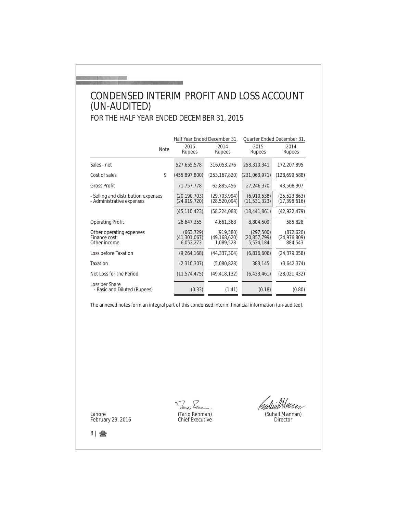### CONDENSED INTERIM PROFIT AND LOSS ACCOUNT (UN-AUDITED) FOR THE HALF YEAR ENDED DECEMBER 31, 2015

2014 Rupees  $2015$ <br>Rupees Note  $\begin{array}{ccc}\n\text{2013} & \text{2014} & \text{2013} \\
\text{Rupees} & \text{Rupees} & \text{Rupees}\n\end{array}$ Quarter Ended December 31, 2014 Rupees 2015 Half Year Ended December 31, Sales - net 527,655,578 316,053,276 258,310,341 172,207,895 Cost of sales 9 (455,897,800) (253,167,820) (231,063,971) (128,699,588) Gross Profit 271,757,778 62,885,456 27,246,370 43,508,307  $\left\{\begin{array}{c|c} - \text{Selling and distribution expenses} \end{array}\right.\left.\left.\begin{array}{c|c} (20,190,703) \ (29,703,994) \ (28,520,094) \ (28,520,094) \end{array}\right.\right.\left.\left.\begin{array}{c|c} (6,910,538) \ (6,910,538) \ (7,523,863) \ (17,398,616) \end{array}\right. \right.$ - Administrative expenses (45,110,423) (58,224,088) (18,441,861) (42,922,479) Operating Profit 26,647,355 4,661,368 8,804,509 585,828 Other operating expenses (663,729) (919,580) (297,500) (872,620)<br>Finance cost (41,301,067) (49,168,620) (20,857,799) (24,976,809)  $\begin{array}{r} 11,301,067 \end{array}$  (49,168,620) (20,857,799) (24,976,809)<br>
6,053,273 1,089,528 5,534,184 884,543 Other income Loss before Taxation (9,264,168) (44,337,304) (6,816,606) (24,379,058) Taxation (2,310,307) (5,080,828) 383,145 (3,642,374) Net Loss for the Period (11,574,475) (49,418,132) (6,433,461) (28,021,432) Loss per Share - Basic and Diluted (Rupees) (0.33) (1.41) (0.18) (0.80)

The annexed notes form an integral part of this condensed interim financial information (un-audited).

Lahore February 29, 2016

Tang Sam (Tariq Rehman) Chief Executive

Mulik Marin

(Suhail Mannan) **Director** 

 $8 \mid \frac{35}{25}$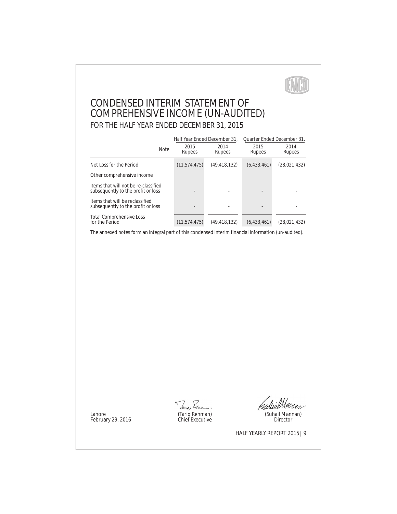### CONDENSED INTERIM STATEMENT OF COMPREHENSIVE INCOME (UN-AUDITED) FOR THE HALF YEAR ENDED DECEMBER 31, 2015

|                                                                            |                | Half Year Ended December 31, | Quarter Ended December 31, |                |
|----------------------------------------------------------------------------|----------------|------------------------------|----------------------------|----------------|
| <b>Note</b>                                                                | 2015<br>Rupees | 2014<br>Rupees               | 2015<br>Rupees             | 2014<br>Rupees |
| Net Loss for the Period                                                    | (11,574,475)   | (49, 418, 132)               | (6, 433, 461)              | (28,021,432)   |
| Other comprehensive income                                                 |                |                              |                            |                |
| Items that will not be re-classified<br>subsequently to the profit or loss |                |                              |                            |                |
| Items that will be reclassified<br>subsequently to the profit or loss      |                |                              |                            |                |
| <b>Total Comprehensive Loss</b><br>for the Period                          | (11,574,475)   | (49.418.132)                 | (6.433.461)                | (28.021.432)   |

The annexed notes form an integral part of this condensed interim financial information (un-audited).

Lahore February 29, 2016

Tang Sam (Tariq Rehman) Chief Executive

Parlin Marin

(Suhail Mannan) Director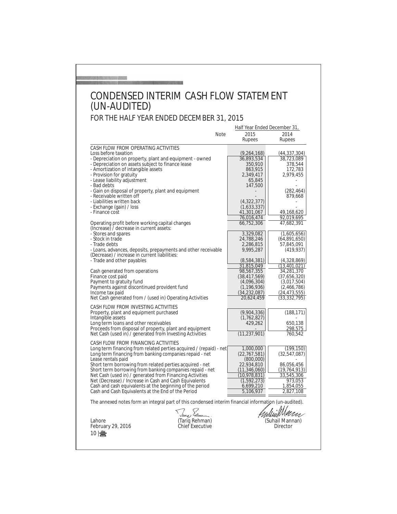# CONDENSED INTERIM CASH FLOW STATEMENT (UN-AUDITED)

FOR THE HALF YEAR ENDED DECEMBER 31, 2015

|                                                                                                       |                        | Half Year Ended December 31, |                                  |
|-------------------------------------------------------------------------------------------------------|------------------------|------------------------------|----------------------------------|
|                                                                                                       | Note                   | 2015<br>Rupees               | 2014<br>Rupees                   |
| <b>CASH FLOW FROM OPERATING ACTIVITIES</b>                                                            |                        |                              |                                  |
| Loss before taxation                                                                                  |                        | (9,264,168)                  | (44, 337, 304)                   |
| - Depreciation on property, plant and equipment - owned                                               |                        | 36,893,534                   | 38,723,089                       |
| - Depreciation on assets subject to finance lease                                                     |                        | 350,910                      | 378,544                          |
| - Amortization of intangible assets                                                                   |                        | 863,915                      | 172,783                          |
| - Provision for gratuity                                                                              |                        | 2,349,417                    | 2,979,455                        |
| - Lease liability adjustment                                                                          |                        | 65,845                       |                                  |
| - Bad debts                                                                                           |                        | 147,500                      |                                  |
| - Gain on disposal of property, plant and equipment                                                   |                        |                              | (282, 464)                       |
| - Receivable written off                                                                              |                        |                              | 879,668                          |
| - Liabilities written back                                                                            |                        | (4,322,377)                  |                                  |
| - Exchange (gain) / loss                                                                              |                        | (1,633,337)                  |                                  |
| - Finance cost                                                                                        |                        | 41,301,067                   | 49,168,620                       |
|                                                                                                       |                        | 76,016,474                   | 92,019,695                       |
| Operating profit before working capital changes<br>(Increase) / decrease in current assets:           |                        | 66,752,306                   | 47,682,391                       |
| - Stores and spares                                                                                   |                        | 3,329,082                    | (1,605,656)                      |
| - Stock in trade                                                                                      |                        | 24,788,246                   | (64,891,650)                     |
| - Trade debts                                                                                         |                        | 2,286,815                    | 57,845,091                       |
| - Loans, advances, deposits, prepayments and other receivable                                         |                        | 9,995,287                    | (419, 937)                       |
| (Decrease) / increase in current liabilities:                                                         |                        |                              |                                  |
| - Trade and other payables                                                                            |                        | (8,584,381)                  | (4,328,869)                      |
|                                                                                                       |                        | 31,815,049                   | (13, 401, 021)                   |
| Cash generated from operations                                                                        |                        | 98,567,355                   | 34,281,370                       |
| Finance cost paid                                                                                     |                        | (38, 417, 569)               | (37,656,320)                     |
| Payment to gratuity fund                                                                              |                        | (4,096,304)                  | (3,017,504)                      |
| Payments against discontinued provident fund                                                          |                        | (1, 196, 936)                | (2,466,786)                      |
| Income tax paid<br>Net Cash generated from / (used in) Operating Activities                           |                        | (34, 232, 087)<br>20,624,459 | (24, 473, 555)<br>(33, 332, 795) |
|                                                                                                       |                        |                              |                                  |
| CASH FLOW FROM INVESTING ACTIVITIES                                                                   |                        |                              |                                  |
| Property, plant and equipment purchased                                                               |                        | (9,904,336)                  | (188, 171)                       |
| Intangible assets                                                                                     |                        | (1,762,827)                  | 650.138                          |
| Long term loans and other receivables<br>Proceeds from disposal of property, plant and equipment      |                        | 429,262                      | <u>298,575</u>                   |
| Net Cash (used in) / generated from Investing Activities                                              |                        | (11, 237, 901)               | 760,542                          |
|                                                                                                       |                        |                              |                                  |
| CASH FLOW FROM FINANCING ACTIVITIES                                                                   |                        |                              |                                  |
| Long term financing from related perties acquired / (repaid) - net                                    |                        | 1,000,000                    | (199, 150)                       |
| Long term financing from banking companies repaid - net                                               |                        | (22, 767, 581)               | (32, 547, 087)                   |
| Lease rentals paid<br>Short term borrowing from related perties acquired - net                        |                        | (800,000)<br>22,934,810      | 86,056,456                       |
| Short term borrowing from banking companies repaid - net                                              |                        | (11,346,060)                 | (19,764,913)                     |
| Net Cash (used in) / generated from Financing Activities                                              |                        | (10, 978, 831)               | 33,545,306                       |
| Net (Decrease) / Increase in Cash and Cash Equivalents                                                |                        | (1,592,273)                  | 973.053                          |
| Cash and cash equivalents at the beginning of the period                                              |                        | 6,699,210                    | 1,854,055                        |
| Cash and Cash Equivalents at the End of the Period                                                    |                        | 5,106,937                    | 2,827,108                        |
| The annexed notes form an integral part of this condensed interim financial information (un-audited). |                        |                              |                                  |
|                                                                                                       |                        |                              |                                  |
|                                                                                                       | Jang Sem               |                              | <i>Emilia Marin</i>              |
| Lahore                                                                                                | (Tariq Rehman)         |                              | (Suhail Mannan)                  |
| February 29, 2016                                                                                     | <b>Chief Executive</b> |                              | Director                         |
| 10 <sub>5</sub>                                                                                       |                        |                              |                                  |
|                                                                                                       |                        |                              |                                  |
|                                                                                                       |                        |                              |                                  |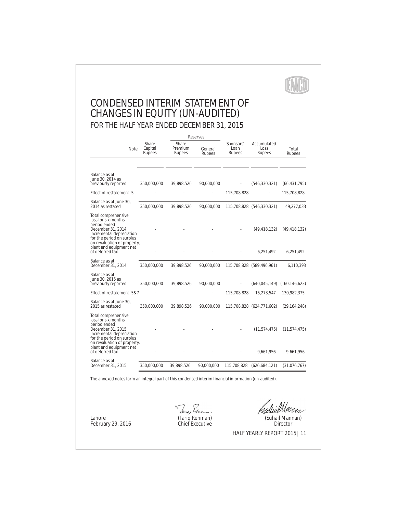

## CONDENSED INTERIM STATEMENT OF CHANGES IN EQUITY (UN-AUDITED) FOR THE HALF YEAR ENDED DECEMBER 31, 2015

|                                                                                                                                                                                                                       |                            |                            | Reserves                                 |                             |                               |                             |
|-----------------------------------------------------------------------------------------------------------------------------------------------------------------------------------------------------------------------|----------------------------|----------------------------|------------------------------------------|-----------------------------|-------------------------------|-----------------------------|
| Note                                                                                                                                                                                                                  | Share<br>Capital<br>Rupees | Share<br>Premium<br>Rupees | General<br>Rupees                        | Sponsors'<br>Loan<br>Rupees | Accumulated<br>Loss<br>Rupees | Total<br>Rupees             |
|                                                                                                                                                                                                                       |                            |                            |                                          |                             |                               |                             |
| <b>Balance as at</b><br>June 30, 2014 as<br>previously reported                                                                                                                                                       | 350,000,000                | 39,898,526                 | 90,000,000                               |                             | (546, 330, 321)               | (66, 431, 795)              |
| Effect of restatement 5                                                                                                                                                                                               |                            |                            |                                          | 115,708,828                 |                               | 115,708,828                 |
| Balance as at June 30.<br>2014 as restated                                                                                                                                                                            | 350,000,000                | 39,898,526                 | 90,000,000                               |                             | 115,708,828 (546,330,321)     | 49,277,033                  |
| Total comprehensive<br>loss for six months<br>period ended<br>December 31, 2014<br>Incremental depreciation<br>for the period on surplus<br>on revaluation of property,<br>plant and equipment net<br>of deferred tax |                            |                            |                                          |                             | (49, 418, 132)<br>6,251,492   | (49, 418, 132)<br>6,251,492 |
| Balance as at<br>December 31, 2014                                                                                                                                                                                    | 350,000,000                | 39,898,526                 | 90,000,000                               |                             | 115,708,828 (589,496,961)     | 6,110,393                   |
| Balance as at                                                                                                                                                                                                         |                            |                            |                                          |                             |                               |                             |
| June 30, 2015 as<br>previously reported                                                                                                                                                                               | 350,000,000                | 39,898,526                 | 90,000,000                               |                             | (640, 045, 149)               | (160, 146, 623)             |
| Effect of restatement 5&7                                                                                                                                                                                             |                            |                            |                                          | 115,708,828                 | 15,273,547                    | 130,982,375                 |
| Balance as at June 30,<br>2015 as restated                                                                                                                                                                            | 350,000,000                | 39,898,526                 | 90,000,000                               |                             | 115,708,828 (624,771,602)     | (29, 164, 248)              |
| Total comprehensive<br>loss for six months<br>period ended<br>December 31, 2015<br>Incremental depreciation<br>for the period on surplus<br>on revaluation of property,<br>plant and equipment net                    |                            |                            |                                          |                             | (11, 574, 475)                | (11, 574, 475)              |
| of deferred tax                                                                                                                                                                                                       |                            |                            |                                          |                             | 9,661,956                     | 9,661,956                   |
| Balance as at<br>December 31, 2015                                                                                                                                                                                    | 350,000,000                | 39,898,526                 | 90,000,000                               | 115,708,828                 | (626, 684, 121)               | (31,076,767)                |
| The annexed notes form an integral part of this condensed interim financial information (un-audited).                                                                                                                 |                            |                            |                                          |                             |                               |                             |
| Lahore<br>February 29, 2016                                                                                                                                                                                           |                            |                            | (Tariq Rehman)<br><b>Chief Executive</b> |                             |                               | (Suhail Mannan)<br>Director |

e<mark>bruary 29, 20</mark>1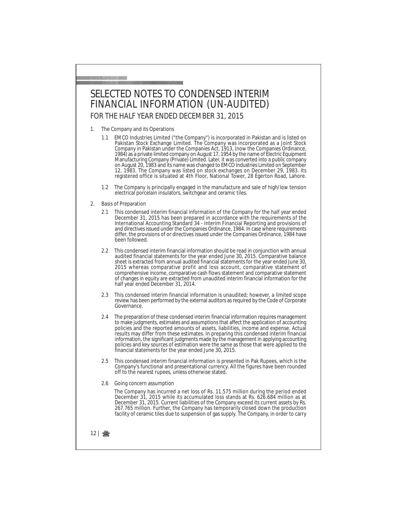### SELECTED NOTES TO CONDENSED INTERIM FINANCIAL INFORMATION (UN-AUDITED) FOR THE HALF YEAR ENDED DECEMBER 31, 2015

- 1. The Company and its Operations
	- 1.1 EMCO Industries Limited ("the Company") is incorporated in Pakistan and is listed on Pakistan Stock Exchange Limited. The Company was incorporated as a Joint Stock Company in Pakistan under the Companies Act, 1913, (now the Companies Ordinance, 1984) as a private limited company on August 17, 1954 by the name of Electric Equipment Manufacturing Company (Private) Limited. Later, it was converted into a public company on August 20, 1983 and its name was changed to EMCO Industries Limited on September 12, 1983. The Company was listed on stock exchanges on December 29, 1983. Its registered office is situated at 4th Floor, National Tower, 28 Egerton Road, Lahore.
	- 1.2 The Company is principally engaged in the manufacture and sale of high/low tension electrical porcelain insulators, switchgear and ceramic tiles.
- 2. Basis of Preparation
	- This condensed interim financial information of the Company for the half year ended December 31, 2015 has been prepared in accordance with the requirements of the International Accounting Standard 34 - Interim Financial Reporting and provisions of and directives issued under the Companies Ordinance, 1984. In case where requirements differ, the provisions of or directives issued under the Companies Ordinance, 1984 have been followed.
	- 2.2 This condensed interim financial information should be read in conjunction with annual audited financial statements for the year ended June 30, 2015. Comparative balance sheet is extracted from annual audited financial statements for the year ended June 30, 2015 whereas comparative profit and loss account, comparative statement of comprehensive income, comparative cash flows statement and comparative statement of changes in equity are extracted from unaudited interim financial information for the half year ended December 31, 2014.
	- 2.3 This condensed interim financial information is unaudited; however, a limited scope review has been performed by the external auditors as required by the Code of Corporate Governance.
	- 2.4 The preparation of these condensed interim financial information requires management to make judgments, estimates and assumptions that affect the application of accounting policies and the reported amounts of assets, liabilities, income and expense. Actual results may differ from these estimates. In preparing this condensed interim financial information, the significant judgments made by the management in applying accounting policies and key sources of estimation were the same as those that were applied to the financial statements for the year ended June 30, 2015.
	- 2.5 This condensed interim financial information is presented in Pak Rupees, which is the Company's functional and presentational currency. All the figures have been rounded off to the nearest rupees, unless otherwise stated.
	- 2.6 Going concern assumption

The Company has incurred a net loss of Rs. 11.575 million during the period ended December 31, 2015 while its accumulated loss stands at Rs. 626.684 million as at December 31, 2015. Current liabilities of the Company exceed its current assets by Rs. 267.765 million. Further, the Company has temporarily closed down the production facility of ceramic tiles due to suspension of gas supply. The Company, in order to carry

 $12 \equiv$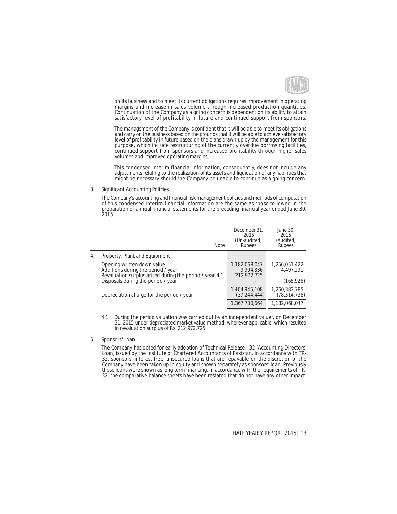

 on its business and to meet its current obligations requires improvement in operating margins and increase in sales volume through increased production quantities. Continuation of the Company as a going concern is dependent on its ability to attain satisfactory level of profitability in future and continued support from sponsors. 

The management of the Company is confident that it will be able to meet its obligations and carry on the business based on the grounds that it will be able to achieve satisfactory level of profitability in future based on the plans drawn up by the management for this purpose, which include restructuring of the currently overdue borrowing facilities, continued support from sponsors and increased profitability through higher sales volumes and improved operating margins. 

This condensed interim financial information, consequently, does not include any adjustments relating to the realization of its assets and liquidation of any liabilities that might be necessary should the Company be unable to continue as a going concern.

#### 3. Significant Accounting Policies

The Company's accounting and financial risk management policies and methods of computation of this condensed interim financial information are the same as those followed in the preparation of annual financial statements for the preceding financial year ended June 30, 2015.

|    | <b>Note</b>                                                                                                                                                           | December 31.<br>2015<br>(Un-audited)<br>Rupees | June 30.<br>2015<br>(Audited)<br>Rupees  |
|----|-----------------------------------------------------------------------------------------------------------------------------------------------------------------------|------------------------------------------------|------------------------------------------|
| 4. | Property, Plant and Equipment                                                                                                                                         |                                                |                                          |
|    | Opening written down value<br>Additions during the period / year<br>Revaluation surplus arised during the period $/$ year 4.1<br>Disposals during the period $/$ year | 1,182,068,047<br>9.904.336<br>212.972.725      | 1,256,051,422<br>4.497.291<br>(165, 928) |
|    | Depreciation charge for the period / year                                                                                                                             | 1,404,945,108<br>(37, 244, 444)                | 1,260,382,785<br>(78, 314, 738)          |
|    |                                                                                                                                                                       | 1,367,700,664                                  | 1.182.068.047                            |

4.1 During the period valuation was carried out by an independent valuer, on December 31, 2015 under depreciated market value method, wherever applicable, which resulted in revaluation surplus of Rs. 212,972,725.

#### 5. Sponsors' Loan

The Company has opted for early adoption of Technical Release - 32 (Accounting Directors' Loan) issued by the Institute of Chartered Accountants of Pakistan. In accordance with TR-32, sponsors' interest free, unsecured loans that are repayable on the discretion of the Company have been taken up in equity and shown separately as sponsors' loan. Previously these loans were shown as long term financing. In accordance with the requirements of TR-32, the comparative balance sheets have been restated that do not have any other impact.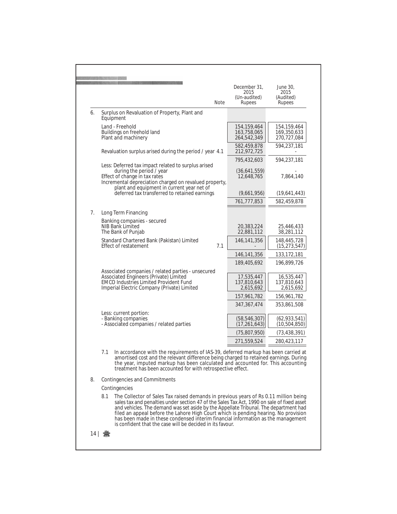|    | Note                                                                                                                                                                                                                                                                                                                                                                                                                                                                                                                      | December 31.<br>2015<br>(Un-audited)<br>Rupees | June 30,<br>2015<br>(Audited)<br>Rupees   |
|----|---------------------------------------------------------------------------------------------------------------------------------------------------------------------------------------------------------------------------------------------------------------------------------------------------------------------------------------------------------------------------------------------------------------------------------------------------------------------------------------------------------------------------|------------------------------------------------|-------------------------------------------|
| 6. | Surplus on Revaluation of Property, Plant and<br>Equipment                                                                                                                                                                                                                                                                                                                                                                                                                                                                |                                                |                                           |
|    | Land - Freehold<br>Buildings on freehold land<br>Plant and machinery                                                                                                                                                                                                                                                                                                                                                                                                                                                      | 154, 159, 464<br>163,758,065<br>264,542,349    | 154,159,464<br>169,350,633<br>270,727,084 |
|    | Revaluation surplus arised during the period / year 4.1                                                                                                                                                                                                                                                                                                                                                                                                                                                                   | 582,459,878<br>212,972,725                     | 594,237,181                               |
|    | Less: Deferred tax impact related to surplus arised<br>during the period / year<br>Effect of change in tax rates<br>Incremental depreciation charged on revalued property,                                                                                                                                                                                                                                                                                                                                                | 795,432,603<br>(36, 641, 559)<br>12,648,765    | 594,237,181<br>7,864,140                  |
|    | plant and equipment in current year net of<br>deferred tax transferred to retained earnings                                                                                                                                                                                                                                                                                                                                                                                                                               | (9,661,956)                                    | (19, 641, 443)                            |
|    |                                                                                                                                                                                                                                                                                                                                                                                                                                                                                                                           | 761,777,853                                    | 582,459,878                               |
| 7. | Long Term Financing                                                                                                                                                                                                                                                                                                                                                                                                                                                                                                       |                                                |                                           |
|    | Banking companies - secured<br>NIB Bank Limited<br>The Bank of Punjab                                                                                                                                                                                                                                                                                                                                                                                                                                                     | 20,383,224<br>22,881,112                       | 25,446,433<br>38,281,112                  |
|    | Standard Chartered Bank (Pakistan) Limited<br>Effect of restatement<br>7.1                                                                                                                                                                                                                                                                                                                                                                                                                                                | 146, 141, 356                                  | 148,445,728<br>(15, 273, 547)             |
|    |                                                                                                                                                                                                                                                                                                                                                                                                                                                                                                                           | 146, 141, 356                                  | 133, 172, 181                             |
|    | Associated companies / related parties - unsecured<br>Associated Engineers (Private) Limited<br><b>EMCO</b> Industries Limited Provident Fund                                                                                                                                                                                                                                                                                                                                                                             | 189,405,692<br>17,535,447<br>137,810,643       | 196,899,726<br>16,535,447<br>137,810,643  |
|    | Imperial Electric Company (Private) Limited                                                                                                                                                                                                                                                                                                                                                                                                                                                                               | 2,615,692                                      | 2,615,692                                 |
|    |                                                                                                                                                                                                                                                                                                                                                                                                                                                                                                                           | 157,961,782<br>347,367,474                     | 156,961,782<br>353,861,508                |
|    | Less: current portion:<br>- Banking companies<br>- Associated companies / related parties                                                                                                                                                                                                                                                                                                                                                                                                                                 | (58, 546, 307)<br>(17,261,643)                 | (62, 933, 541)<br>(10, 504, 850)          |
|    |                                                                                                                                                                                                                                                                                                                                                                                                                                                                                                                           | (75,807,950)                                   | (73, 438, 391)                            |
|    |                                                                                                                                                                                                                                                                                                                                                                                                                                                                                                                           | 271,559,524                                    | 280, 423, 117                             |
|    | In accordance with the requirements of IAS-39, deferred markup has been carried at<br>7.1<br>amortised cost and the relevant difference being charged to retained earnings. During<br>the year, imputed markup has been calculated and accounted for. This accounting<br>treatment has been accounted for with retrospective effect.                                                                                                                                                                                      |                                                |                                           |
| 8. | Contingencies and Commitments                                                                                                                                                                                                                                                                                                                                                                                                                                                                                             |                                                |                                           |
|    | Contingencies                                                                                                                                                                                                                                                                                                                                                                                                                                                                                                             |                                                |                                           |
|    | The Collector of Sales Tax raised demands in previous years of Rs 0.11 million being<br>8.1<br>sales tax and penalties under section 47 of the Sales Tax Act, 1990 on sale of fixed asset<br>and vehicles. The demand was set aside by the Appellate Tribunal. The department had<br>filed an appeal before the Lahore High Court which is pending hearing. No provision<br>has been made in these condensed interim financial information as the management<br>is confident that the case will be decided in its favour. |                                                |                                           |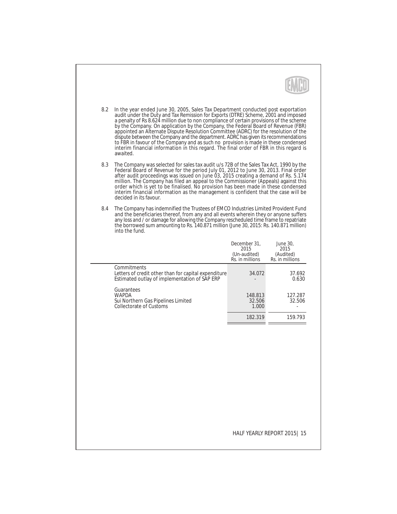| 8.2 | In the year ended June 30, 2005, Sales Tax Department conducted post exportation<br>audit under the Duty and Tax Remission for Exports (DTRE) Scheme, 2001 and imposed<br>a penalty of Rs 8.624 million due to non compliance of certain provisions of the scheme<br>by the Company. On application by the Company, the Federal Board of Revenue (FBR)<br>appointed an Alternate Dispute Resolution Committee (ADRC) for the resolution of the<br>dispute between the Company and the department. ADRC has given its recommendations<br>to FBR in favour of the Company and as such no provision is made in these condensed<br>interim financial information in this regard. The final order of FBR in this regard is<br>awaited. |                                                         |                                                  |
|-----|-----------------------------------------------------------------------------------------------------------------------------------------------------------------------------------------------------------------------------------------------------------------------------------------------------------------------------------------------------------------------------------------------------------------------------------------------------------------------------------------------------------------------------------------------------------------------------------------------------------------------------------------------------------------------------------------------------------------------------------|---------------------------------------------------------|--------------------------------------------------|
| 8.3 | The Company was selected for sales tax audit u/s 72B of the Sales Tax Act, 1990 by the<br>Federal Board of Revenue for the period July 01, 2012 to June 30, 2013. Final order<br>after audit proceedings was issued on June 03, 2015 creating a demand of Rs. $5.174$<br>million. The Company has filed an appeal to the Commissioner (Appeals) against this<br>order which is yet to be finalised. No provision has been made in these condensed<br>interim financial information as the management is confident that the case will be<br>decided in its favour.                                                                                                                                                                 |                                                         |                                                  |
| 8.4 | The Company has indemnified the Trustees of EMCO Industries Limited Provident Fund<br>and the beneficiaries thereof, from any and all events wherein they or anyone suffers<br>any loss and / or damage for allowing the Company rescheduled time frame to repatriate<br>the borrowed sum amounting to Rs. 140.871 million (June 30, 2015: Rs. 140.871 million)<br>into the fund.                                                                                                                                                                                                                                                                                                                                                 |                                                         |                                                  |
|     |                                                                                                                                                                                                                                                                                                                                                                                                                                                                                                                                                                                                                                                                                                                                   | December 31.<br>2015<br>(Un-audited)<br>Rs. in millions | June 30.<br>2015<br>(Audited)<br>Rs. in millions |
|     | Commitments<br>Letters of credit other than for capital expenditure<br>Estimated outlay of implementation of SAP ERP                                                                                                                                                                                                                                                                                                                                                                                                                                                                                                                                                                                                              | 34.072                                                  | 37.692<br>0.630                                  |
|     | Guarantees<br>WAPDA<br>Sui Northern Gas Pipelines Limited<br>Collectorate of Customs                                                                                                                                                                                                                                                                                                                                                                                                                                                                                                                                                                                                                                              | 148.813<br>32.506<br>1.000                              | 127.287<br>32.506                                |
|     |                                                                                                                                                                                                                                                                                                                                                                                                                                                                                                                                                                                                                                                                                                                                   | 182.319                                                 | 159.793                                          |
|     |                                                                                                                                                                                                                                                                                                                                                                                                                                                                                                                                                                                                                                                                                                                                   |                                                         |                                                  |
|     |                                                                                                                                                                                                                                                                                                                                                                                                                                                                                                                                                                                                                                                                                                                                   |                                                         | HALF YEARLY REPORT 2015   15                     |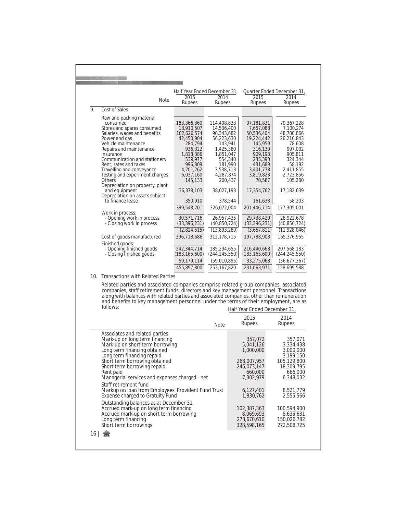|    |                                                    |                 | Half Year Ended December 31, |                 | Quarter Ended December 31, |
|----|----------------------------------------------------|-----------------|------------------------------|-----------------|----------------------------|
|    | <b>Note</b>                                        | 2015<br>Rupees  | 2014<br>Rupees               | 2015<br>Rupees  | 2014<br>Rupees             |
| 9. | <b>Cost of Sales</b>                               |                 |                              |                 |                            |
|    | Raw and packing material                           |                 |                              |                 |                            |
|    | consumed                                           | 183,366,360     | 114,408,833                  | 97.181.831      | 70,367,228                 |
|    | Stores and spares consumed                         | 18,910,507      | 14,506,400                   | 7.657.088       | 7,100,274                  |
|    | Salaries, wages and benefits                       | 102,626,574     | 90,343,682                   | 50,536,404      | 48,780,866                 |
|    | Power and gas                                      | 42,450,904      | 56,223,630                   | 19,224,442      | 26,210,843                 |
|    | Vehicle maintenance                                | 284,794         | 143,941                      | 145,959         | 78,608                     |
|    | Repairs and maintenance                            | 936,322         | 1,425,380                    | 316,130         | 997,002                    |
|    | Insurance                                          | 1,818,386       | 1,851,047                    | 909,193         | 905,811                    |
|    | Communication and stationery                       | 539,977         | 554,340                      | 235,390         | 324,344                    |
|    | Rent. rates and taxes                              | 996,809         | 181,990                      | 431,689         | 58,192                     |
|    | Travelling and conveyance                          | 4,701,262       | 3,538,713                    | 3,401,778       | 2,411,855                  |
|    | Testing and experiment charges                     | 6,037,160       | 4,287,874                    | 3,819,823       | 2,723,856                  |
|    | Others                                             | 145,133         | 200,437                      | 70,587          | 105,280                    |
|    | Depreciation on property, plant                    |                 |                              |                 |                            |
|    | and equipment                                      | 36.378.103      | 38,027,193                   | 17,354,762      | 17,182,639                 |
|    | Depreciation on assets subject<br>to finance lease |                 |                              |                 |                            |
|    |                                                    | 350,910         | 378,544                      | 161,638         | 58,203                     |
|    |                                                    | 399,543,201     | 326.072.004                  | 201,446,714     | 177,305,001                |
|    | Work in process:                                   |                 |                              |                 |                            |
|    | - Opening work in process                          | 30,571,716      | 26,957,435                   | 29.738.420      | 28,922,678                 |
|    | - Closing work in process                          | (33, 396, 231)  | (40, 850, 724)               | (33, 396, 231)  | (40, 850, 724)             |
|    |                                                    | (2,824,515)     | (13,893,289)                 | (3,657,811)     | (11, 928, 046)             |
|    | Cost of goods manufactured                         | 396,718,686     | 312,178,715                  | 197,788,903     | 165,376,955                |
|    | Finished goods:                                    |                 |                              |                 |                            |
|    | - Opening finished goods                           | 242,344,714     | 185,234,655                  | 216,440,668     | 207,568,183                |
|    | - Closing finished goods                           | (183, 165, 600) | (244, 245, 550)              | (183, 165, 600) | (244, 245, 550)            |
|    |                                                    | 59,179,114      | (59,010,895)                 | 33,275,068      | (36,677,367)               |
|    |                                                    | 455,897,800     | 253,167,820                  | 231,063,971     | 128,699,588                |

10. Transactions with Related Parties

磤

Related parties and associated companies comprise related group companies, associated companies, staff retirement funds, directors and key management personnel. Transactions along with balances with related parties and associated companies, other than remuneration and benefits to key management personnel under the terms of their employment, are as follows: Half Year Ended December 31,

| <b>Note</b>                                                                                                                                                                                                                                                                                                                                                                                                                                                                                                                                                                                                             | 2015<br><b>Rupees</b>                                                                                                                                                       | 2014<br><b>Rupees</b>                                                                                                                                                                   |
|-------------------------------------------------------------------------------------------------------------------------------------------------------------------------------------------------------------------------------------------------------------------------------------------------------------------------------------------------------------------------------------------------------------------------------------------------------------------------------------------------------------------------------------------------------------------------------------------------------------------------|-----------------------------------------------------------------------------------------------------------------------------------------------------------------------------|-----------------------------------------------------------------------------------------------------------------------------------------------------------------------------------------|
| Associates and related parties<br>Mark-up on long term financing<br>Mark-up on short term borrowing<br>Long term financing obtained<br>Long term financing repaid<br>Short term borrowing obtained<br>Short term borrowing repaid<br>Rent paid<br>Managerial services and expenses charged - net<br>Staff retirement fund<br>Markup on loan from Employees' Provident Fund Trust<br>Expense charged to Gratuity Fund<br>Outstanding balances as at December 31,<br>Accrued mark-up on long term financing<br>Accrued mark-up on short term borrowing<br>Long term financing<br>Short term borrowings<br>16 <sup>1</sup> | 357,072<br>5,041,126<br>1,000,000<br>268,007,957<br>245,073,147<br>660,000<br>7,302,979<br>6,127,401<br>1,830,762<br>102,387,363<br>8,069,693<br>273,670,610<br>328,598,165 | 357,071<br>3.334.438<br>3,000,000<br>3,199,150<br>105,129,800<br>18,309,795<br>666,000<br>6,348,032<br>8,521,779<br>2,555,566<br>100,594,900<br>8,635,631<br>150,026,782<br>272,508,725 |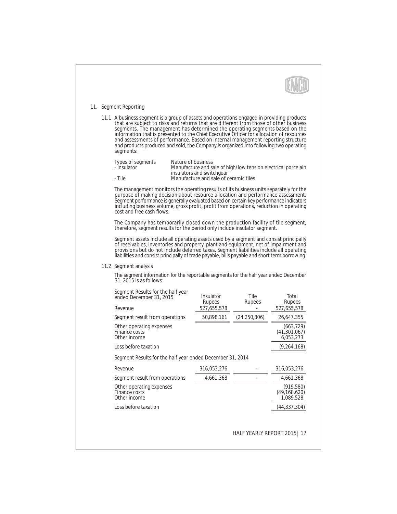|  | 11. Segment Reporting                                                                                                                                                                                                                                                                                                                                                                                                                                                                                                                                   |                    |                                                                    |                                                               |                                                         |
|--|---------------------------------------------------------------------------------------------------------------------------------------------------------------------------------------------------------------------------------------------------------------------------------------------------------------------------------------------------------------------------------------------------------------------------------------------------------------------------------------------------------------------------------------------------------|--------------------|--------------------------------------------------------------------|---------------------------------------------------------------|---------------------------------------------------------|
|  | 11.1 A business segment is a group of assets and operations engaged in providing products<br>that are subject to risks and returns that are different from those of other business<br>segments. The management has determined the operating segments based on the<br>information that is presented to the Chief Executive Officer for allocation of resources<br>and assessments of performance. Based on internal management reporting structure<br>and products produced and sold, the Company is organized into following two operating<br>segments: |                    |                                                                    |                                                               |                                                         |
|  | Types of segments<br>- Insulator                                                                                                                                                                                                                                                                                                                                                                                                                                                                                                                        | Nature of business |                                                                    | Manufacture and sale of high/low tension electrical porcelain |                                                         |
|  | - Tile                                                                                                                                                                                                                                                                                                                                                                                                                                                                                                                                                  |                    | insulators and switchgear<br>Manufacture and sale of ceramic tiles |                                                               |                                                         |
|  | The management monitors the operating results of its business units separately for the<br>purpose of making decision about resource allocation and performance assessment.<br>Segment performance is generally evaluated based on certain key performance indicators<br>including business volume, gross profit, profit from operations, reduction in operating<br>cost and free cash flows.                                                                                                                                                            |                    |                                                                    |                                                               |                                                         |
|  | The Company has temporarily closed down the production facility of tile segment,<br>therefore, segment results for the period only include insulator segment.                                                                                                                                                                                                                                                                                                                                                                                           |                    |                                                                    |                                                               |                                                         |
|  | Segment assets include all operating assets used by a segment and consist principally<br>of receivables, inventories and property, plant and equipment, net of impairment and<br>provisions but do not include deferred taxes. Segment liabilities include all operating<br>liabilities and consist principally of trade payable, bills payable and short term borrowing.                                                                                                                                                                               |                    |                                                                    |                                                               |                                                         |
|  | 11.2 Segment analysis                                                                                                                                                                                                                                                                                                                                                                                                                                                                                                                                   |                    |                                                                    |                                                               |                                                         |
|  | The segment information for the reportable segments for the half year ended December<br>31, 2015 is as follows:                                                                                                                                                                                                                                                                                                                                                                                                                                         |                    |                                                                    |                                                               |                                                         |
|  | Segment Results for the half year<br>ended December 31, 2015                                                                                                                                                                                                                                                                                                                                                                                                                                                                                            |                    | Insulator<br>Rupees                                                | Tile<br>Rupees                                                | Total<br>Rupees                                         |
|  | Revenue                                                                                                                                                                                                                                                                                                                                                                                                                                                                                                                                                 |                    | 527,655,578                                                        |                                                               | 527,655,578                                             |
|  | Segment result from operations<br>Other operating expenses<br>Finance costs<br>Other income                                                                                                                                                                                                                                                                                                                                                                                                                                                             |                    | 50,898,161                                                         | (24, 250, 806)                                                | 26,647,355<br>(663, 729)<br>(41, 301, 067)<br>6,053,273 |
|  | Loss before taxation                                                                                                                                                                                                                                                                                                                                                                                                                                                                                                                                    |                    |                                                                    |                                                               | (9,264,168)                                             |
|  | Segment Results for the half year ended December 31, 2014                                                                                                                                                                                                                                                                                                                                                                                                                                                                                               |                    |                                                                    |                                                               |                                                         |
|  | Revenue                                                                                                                                                                                                                                                                                                                                                                                                                                                                                                                                                 |                    | 316,053,276                                                        |                                                               | 316,053,276                                             |
|  | Segment result from operations                                                                                                                                                                                                                                                                                                                                                                                                                                                                                                                          |                    | 4,661,368                                                          |                                                               | 4,661,368                                               |
|  | Other operating expenses<br>Finance costs<br>Other income                                                                                                                                                                                                                                                                                                                                                                                                                                                                                               |                    |                                                                    |                                                               | (919, 580)<br>(49, 168, 620)<br>1,089,528               |
|  | Loss before taxation                                                                                                                                                                                                                                                                                                                                                                                                                                                                                                                                    |                    |                                                                    |                                                               | (44, 337, 304)                                          |
|  |                                                                                                                                                                                                                                                                                                                                                                                                                                                                                                                                                         |                    |                                                                    | HALF YEARLY REPORT 2015   17                                  |                                                         |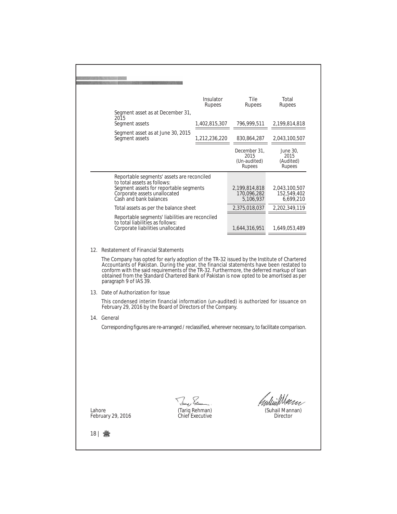|                                                                                                                                                                                                                                                                                                                                                    | <b>Insulator</b><br>Rupees | Tile<br>Rupees                                 | Total<br>Rupees                           |
|----------------------------------------------------------------------------------------------------------------------------------------------------------------------------------------------------------------------------------------------------------------------------------------------------------------------------------------------------|----------------------------|------------------------------------------------|-------------------------------------------|
| Segment asset as at December 31,<br>2015<br>Segment assets                                                                                                                                                                                                                                                                                         | 1,402,815,307              | 796,999,511                                    | 2,199,814,818                             |
| Segment asset as at June 30, 2015<br>Segment assets                                                                                                                                                                                                                                                                                                | 1,212,236,220              | 830,864,287                                    | 2,043,100,507                             |
|                                                                                                                                                                                                                                                                                                                                                    |                            | December 31.<br>2015<br>(Un-audited)<br>Rupees | June 30.<br>2015<br>(Audited)<br>Rupees   |
| Reportable segments' assets are reconciled<br>to total assets as follows:<br>Segment assets for reportable segments<br>Corporate assets unallocated<br>Cash and bank balances                                                                                                                                                                      |                            | 2,199,814,818<br>170,096,282<br>5,106,937      | 2,043,100,507<br>152,549,402<br>6,699,210 |
| Total assets as per the balance sheet                                                                                                                                                                                                                                                                                                              |                            | 2,375,018,037                                  | 2,202,349,119                             |
| Reportable segments' liabilities are reconciled<br>to total liabilities as follows:<br>Corporate liabilities unallocated                                                                                                                                                                                                                           |                            | 1,644,316,951                                  | 1,649,053,489                             |
| 12. Restatement of Financial Statements<br>The Company has opted for early adoption of the TR-32 issued by the Institute of Chartered<br>Accountants of Pakistan. During the year, the financial statements have been restated to                                                                                                                  |                            |                                                |                                           |
| conform with the said requirements of the TR-32. Furthermore, the deferred markup of loan<br>obtained from the Standard Chartered Bank of Pakistan is now opted to be amortised as per<br>paragraph 9 of IAS 39.<br>13. Date of Authorization for Issue<br>This condensed interim financial information (un-audited) is authorized for issuance on |                            |                                                |                                           |
| February 29, 2016 by the Board of Directors of the Company.                                                                                                                                                                                                                                                                                        |                            |                                                |                                           |
| 14. General<br>Corresponding figures are re-arranged / reclassified, wherever necessary, to facilitate comparison.                                                                                                                                                                                                                                 |                            |                                                |                                           |
|                                                                                                                                                                                                                                                                                                                                                    |                            |                                                |                                           |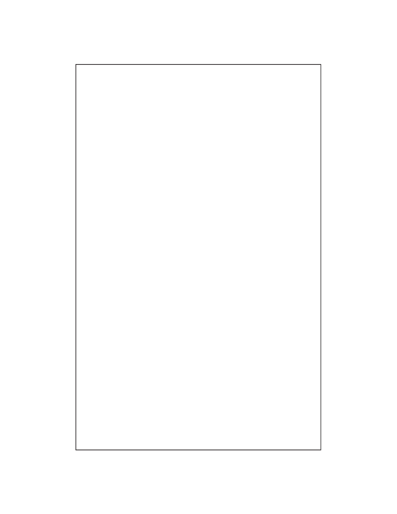